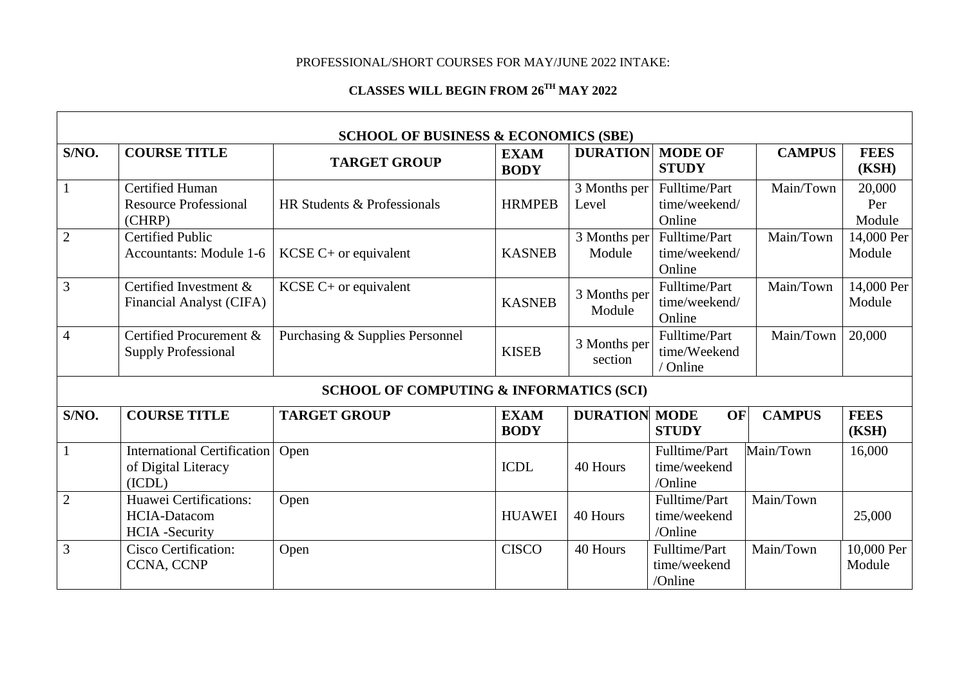## PROFESSIONAL/SHORT COURSES FOR MAY/JUNE 2022 INTAKE:

## **CLASSES WILL BEGIN FROM 26 TH MAY 2022**

|                |                                                                        | <b>SCHOOL OF BUSINESS &amp; ECONOMICS (SBE)</b> |                            |                         |                                           |               |                         |  |  |  |
|----------------|------------------------------------------------------------------------|-------------------------------------------------|----------------------------|-------------------------|-------------------------------------------|---------------|-------------------------|--|--|--|
| S/NO.          | <b>COURSE TITLE</b>                                                    | <b>TARGET GROUP</b>                             | <b>EXAM</b><br><b>BODY</b> | <b>DURATION</b>         | <b>MODE OF</b><br><b>STUDY</b>            | <b>CAMPUS</b> | <b>FEES</b><br>(KSH)    |  |  |  |
|                | <b>Certified Human</b><br><b>Resource Professional</b><br>(CHRP)       | HR Students & Professionals                     | <b>HRMPEB</b>              | 3 Months per<br>Level   | Fulltime/Part<br>time/weekend/<br>Online  | Main/Town     | 20,000<br>Per<br>Module |  |  |  |
| $\overline{2}$ | <b>Certified Public</b><br>Accountants: Module 1-6                     | $KCSE$ C+ or equivalent                         | <b>KASNEB</b>              | 3 Months per<br>Module  | Fulltime/Part<br>time/weekend/<br>Online  | Main/Town     | 14,000 Per<br>Module    |  |  |  |
| 3              | Certified Investment &<br>Financial Analyst (CIFA)                     | $KCSE C+$ or equivalent                         | <b>KASNEB</b>              | 3 Months per<br>Module  | Fulltime/Part<br>time/weekend/<br>Online  | Main/Town     | 14,000 Per<br>Module    |  |  |  |
| 4              | Certified Procurement &<br><b>Supply Professional</b>                  | Purchasing & Supplies Personnel                 | <b>KISEB</b>               | 3 Months per<br>section | Fulltime/Part<br>time/Weekend<br>/ Online | Main/Town     | 20,000                  |  |  |  |
|                | <b>SCHOOL OF COMPUTING &amp; INFORMATICS (SCI)</b>                     |                                                 |                            |                         |                                           |               |                         |  |  |  |
| S/NO.          | <b>COURSE TITLE</b>                                                    | <b>TARGET GROUP</b>                             | <b>EXAM</b><br><b>BODY</b> | <b>DURATION MODE</b>    | <b>OF</b><br><b>STUDY</b>                 | <b>CAMPUS</b> | <b>FEES</b><br>(KSH)    |  |  |  |
|                | <b>International Certification</b><br>of Digital Literacy<br>(ICDL)    | Open                                            | <b>ICDL</b>                | 40 Hours                | Fulltime/Part<br>time/weekend<br>/Online  | Main/Town     | 16,000                  |  |  |  |
| $\overline{2}$ | Huawei Certifications:<br><b>HCIA-Datacom</b><br><b>HCIA</b> -Security | Open                                            | <b>HUAWEI</b>              | 40 Hours                | Fulltime/Part<br>time/weekend<br>/Online  | Main/Town     | 25,000                  |  |  |  |
| 3              | <b>Cisco Certification:</b><br><b>CCNA, CCNP</b>                       | Open                                            | <b>CISCO</b>               | 40 Hours                | Fulltime/Part<br>time/weekend<br>/Online  | Main/Town     | 10,000 Per<br>Module    |  |  |  |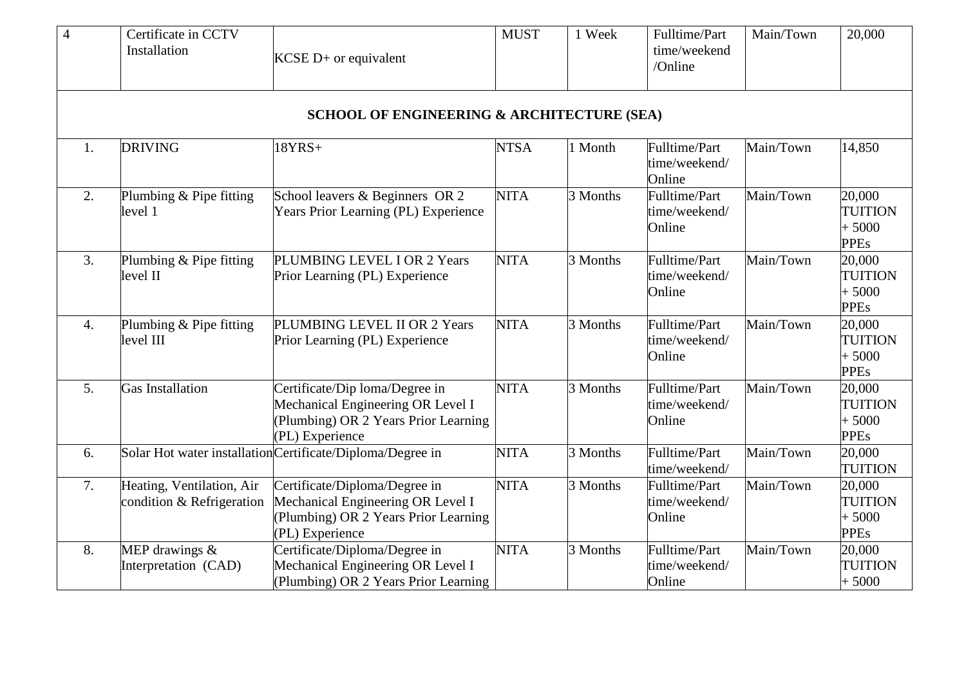| $\overline{4}$   | Certificate in CCTV<br>Installation                    | $KCSE$ D+ or equivalent                                                                                                        | <b>MUST</b> | 1 Week   | Fulltime/Part<br>time/weekend<br>/Online | Main/Town | 20,000                                             |
|------------------|--------------------------------------------------------|--------------------------------------------------------------------------------------------------------------------------------|-------------|----------|------------------------------------------|-----------|----------------------------------------------------|
|                  |                                                        | <b>SCHOOL OF ENGINEERING &amp; ARCHITECTURE (SEA)</b>                                                                          |             |          |                                          |           |                                                    |
| 1.               | <b>DRIVING</b>                                         | $18YRS+$                                                                                                                       | <b>NTSA</b> | 1 Month  | Fulltime/Part<br>time/weekend/<br>Online | Main/Town | 14,850                                             |
| 2.               | Plumbing & Pipe fitting<br>level 1                     | School leavers & Beginners OR 2<br><b>Years Prior Learning (PL) Experience</b>                                                 | <b>NITA</b> | 3 Months | Fulltime/Part<br>time/weekend/<br>Online | Main/Town | 20,000<br><b>TUITION</b><br>$+5000$<br><b>PPEs</b> |
| 3.               | Plumbing & Pipe fitting<br>level II                    | PLUMBING LEVEL I OR 2 Years<br>Prior Learning (PL) Experience                                                                  | <b>NITA</b> | 3 Months | Fulltime/Part<br>time/weekend/<br>Online | Main/Town | 20,000<br><b>TUITION</b><br>$+5000$<br><b>PPEs</b> |
| $\overline{4}$ . | Plumbing & Pipe fitting<br>level III                   | PLUMBING LEVEL II OR 2 Years<br>Prior Learning (PL) Experience                                                                 | <b>NITA</b> | 3 Months | Fulltime/Part<br>time/weekend/<br>Online | Main/Town | 20,000<br>TUITION<br>$+5000$<br><b>PPEs</b>        |
| 5 <sub>1</sub>   | <b>Gas Installation</b>                                | Certificate/Dip loma/Degree in<br>Mechanical Engineering OR Level I<br>(Plumbing) OR 2 Years Prior Learning<br>(PL) Experience | <b>NITA</b> | 3 Months | Fulltime/Part<br>time/weekend/<br>Online | Main/Town | 20,000<br><b>TUITION</b><br>$+5000$<br><b>PPEs</b> |
| 6.               |                                                        | Solar Hot water installation Certificate/Diploma/Degree in                                                                     | <b>NITA</b> | 3 Months | Fulltime/Part<br>time/weekend/           | Main/Town | 20,000<br><b>TUITION</b>                           |
| 7.               | Heating, Ventilation, Air<br>condition & Refrigeration | Certificate/Diploma/Degree in<br>Mechanical Engineering OR Level I<br>(Plumbing) OR 2 Years Prior Learning<br>(PL) Experience  | <b>NITA</b> | 3 Months | Fulltime/Part<br>time/weekend/<br>Online | Main/Town | 20,000<br><b>TUITION</b><br>$+5000$<br><b>PPEs</b> |
| 8.               | MEP drawings &<br>Interpretation (CAD)                 | Certificate/Diploma/Degree in<br>Mechanical Engineering OR Level I<br>(Plumbing) OR 2 Years Prior Learning                     | <b>NITA</b> | 3 Months | Fulltime/Part<br>time/weekend/<br>Online | Main/Town | 20,000<br>TUITION<br>$+5000$                       |